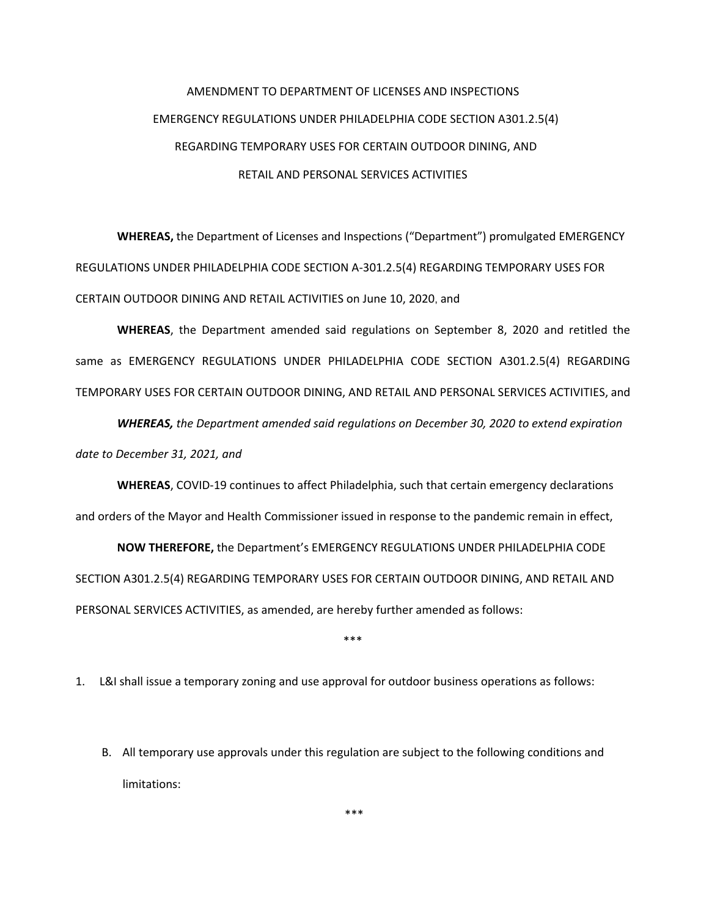## AMENDMENT TO DEPARTMENT OF LICENSES AND INSPECTIONS EMERGENCY REGULATIONS UNDER PHILADELPHIA CODE SECTION A301.2.5(4) REGARDING TEMPORARY USES FOR CERTAIN OUTDOOR DINING, AND RETAIL AND PERSONAL SERVICES ACTIVITIES

**WHEREAS,** the Department of Licenses and Inspections ("Department") promulgated EMERGENCY REGULATIONS UNDER PHILADELPHIA CODE SECTION A-301.2.5(4) REGARDING TEMPORARY USES FOR CERTAIN OUTDOOR DINING AND RETAIL ACTIVITIES on June 10, 2020, and

**WHEREAS**, the Department amended said regulations on September 8, 2020 and retitled the same as EMERGENCY REGULATIONS UNDER PHILADELPHIA CODE SECTION A301.2.5(4) REGARDING TEMPORARY USES FOR CERTAIN OUTDOOR DINING, AND RETAIL AND PERSONAL SERVICES ACTIVITIES, and

*WHEREAS, the Department amended said regulations on December 30, 2020 to extend expiration date to December 31, 2021, and*

**WHEREAS**, COVID-19 continues to affect Philadelphia, such that certain emergency declarations and orders of the Mayor and Health Commissioner issued in response to the pandemic remain in effect,

**NOW THEREFORE,** the Department's EMERGENCY REGULATIONS UNDER PHILADELPHIA CODE SECTION A301.2.5(4) REGARDING TEMPORARY USES FOR CERTAIN OUTDOOR DINING, AND RETAIL AND PERSONAL SERVICES ACTIVITIES, as amended, are hereby further amended as follows:

\*\*\*

1. L&I shall issue a temporary zoning and use approval for outdoor business operations as follows:

B. All temporary use approvals under this regulation are subject to the following conditions and limitations:

\*\*\*